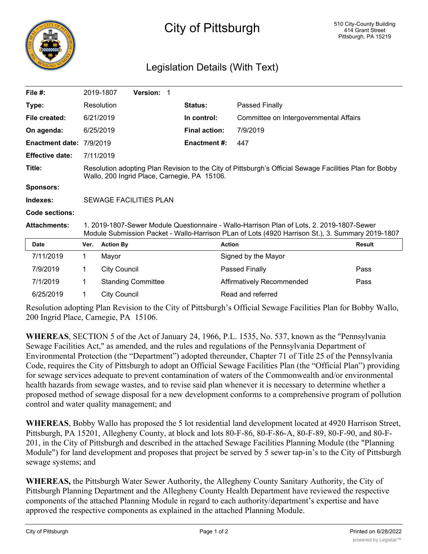

## City of Pittsburgh

## Legislation Details (With Text)

| File #:                |                                                                                                                                                                                               | 2019-1807           | <b>Version: 1</b>         |                      |                                        |               |
|------------------------|-----------------------------------------------------------------------------------------------------------------------------------------------------------------------------------------------|---------------------|---------------------------|----------------------|----------------------------------------|---------------|
| Type:                  |                                                                                                                                                                                               | Resolution          |                           | <b>Status:</b>       | Passed Finally                         |               |
| File created:          |                                                                                                                                                                                               | 6/21/2019           |                           | In control:          | Committee on Intergovernmental Affairs |               |
| On agenda:             |                                                                                                                                                                                               | 6/25/2019           |                           | <b>Final action:</b> | 7/9/2019                               |               |
| <b>Enactment date:</b> | 7/9/2019                                                                                                                                                                                      |                     |                           | <b>Enactment#:</b>   | 447                                    |               |
| <b>Effective date:</b> |                                                                                                                                                                                               | 7/11/2019           |                           |                      |                                        |               |
| Title:                 | Resolution adopting Plan Revision to the City of Pittsburgh's Official Sewage Facilities Plan for Bobby<br>Wallo, 200 Ingrid Place, Carnegie, PA 15106.                                       |                     |                           |                      |                                        |               |
| <b>Sponsors:</b>       |                                                                                                                                                                                               |                     |                           |                      |                                        |               |
| Indexes:               | SEWAGE FACILITIES PLAN                                                                                                                                                                        |                     |                           |                      |                                        |               |
| Code sections:         |                                                                                                                                                                                               |                     |                           |                      |                                        |               |
| <b>Attachments:</b>    | 1. 2019-1807-Sewer Module Questionnaire - Wallo-Harrison Plan of Lots, 2. 2019-1807-Sewer<br>Module Submission Packet - Wallo-Harrison PLan of Lots (4920 Harrison St.), 3. Summary 2019-1807 |                     |                           |                      |                                        |               |
| <b>Date</b>            | Ver.                                                                                                                                                                                          | <b>Action By</b>    |                           |                      | <b>Action</b>                          | <b>Result</b> |
| 7/11/2019              | $\mathbf 1$                                                                                                                                                                                   | Mayor               |                           |                      | Signed by the Mayor                    |               |
| 7/9/2019               | 1.                                                                                                                                                                                            | <b>City Council</b> |                           |                      | Passed Finally                         | Pass          |
| 7/1/2019               | 1                                                                                                                                                                                             |                     | <b>Standing Committee</b> |                      | Affirmatively Recommended              | Pass          |
| 6/25/2019              | 1.                                                                                                                                                                                            | <b>City Council</b> |                           |                      | Read and referred                      |               |

Resolution adopting Plan Revision to the City of Pittsburgh's Official Sewage Facilities Plan for Bobby Wallo, 200 Ingrid Place, Carnegie, PA 15106.

**WHEREAS**, SECTION 5 of the Act of January 24, 1966, P.L. 1535, No. 537, known as the "Pennsylvania Sewage Facilities Act," as amended, and the rules and regulations of the Pennsylvania Department of Environmental Protection (the "Department") adopted thereunder, Chapter 71 of Title 25 of the Pennsylvania Code, requires the City of Pittsburgh to adopt an Official Sewage Facilities Plan (the "Official Plan") providing for sewage services adequate to prevent contamination of waters of the Commonwealth and/or environmental health hazards from sewage wastes, and to revise said plan whenever it is necessary to determine whether a proposed method of sewage disposal for a new development conforms to a comprehensive program of pollution control and water quality management; and

**WHEREAS**, Bobby Wallo has proposed the 5 lot residential land development located at 4920 Harrison Street, Pittsburgh, PA 15201, Allegheny County, at block and lots 80-F-86, 80-F-86-A, 80-F-89, 80-F-90, and 80-F-201, in the City of Pittsburgh and described in the attached Sewage Facilities Planning Module (the "Planning Module") for land development and proposes that project be served by 5 sewer tap-in's to the City of Pittsburgh sewage systems; and

**WHEREAS,** the Pittsburgh Water Sewer Authority, the Allegheny County Sanitary Authority, the City of Pittsburgh Planning Department and the Allegheny County Health Department have reviewed the respective components of the attached Planning Module in regard to each authority/department's expertise and have approved the respective components as explained in the attached Planning Module.